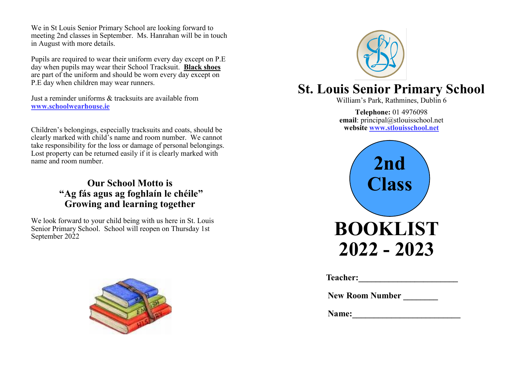We in St Louis Senior Primary School are looking forward to meeting 2nd classes in September. Ms. Hanrahan will be in touch in August with more details.

Pupils are required to wear their uniform every day except on P.E day when pupils may wear their School Tracksuit. **Black shoes**  are part of the uniform and should be worn every day except on P.E day when children may wear runners.

Just a reminder uniforms & tracksuits are available from **www.schoolwearhouse.ie** 

Children's belongings, especially tracksuits and coats, should be clearly marked with child's name and room number. We cannot take responsibility for the loss or damage of personal belongings. Lost property can be returned easily if it is clearly marked with name and room number.

## **Our School Motto is "Ag fás agus ag foghlaín le chéile" Growing and learning together**

We look forward to your child being with us here in St. Louis Senior Primary School. School will reopen on Thursday 1st September 2022





# **St. Louis Senior Primary School**

William's Park, Rathmines, Dublin 6

**Telephone:** 01 4976098 **email**: principal@stlouisschool.net **website www.stlouisschool.net**



| <b>Teacher:</b> |  |  |
|-----------------|--|--|
|                 |  |  |

**New Room Number** 

**Name:**  $\blacksquare$